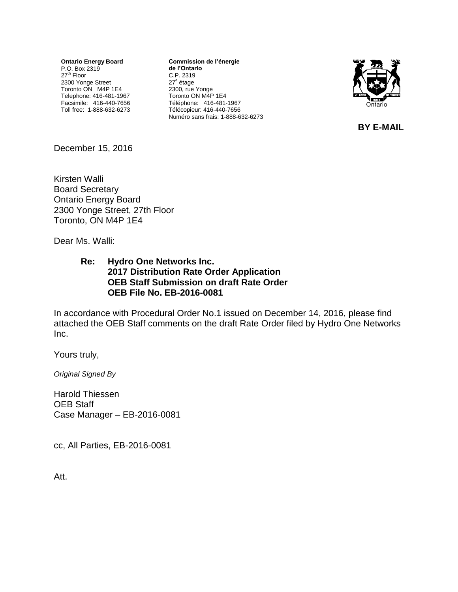**Ontario Energy Board** P.O. Box 2319<br>27<sup>th</sup> Floor 2300 Yonge Street Toronto ON M4P 1E4 Telephone: 416-481-1967 Facsimile: 416-440-7656 Toll free: 1-888-632-6273 **Commission de l'énergie de l'Ontario** C.P. 2319 27<sup>e</sup> étage 2300, rue Yonge Toronto ON M4P 1E4 Téléphone: 416-481-1967 Télécopieur: 416-440-7656 Numéro sans frais: 1-888-632-6273



**BY E-MAIL**

December 15, 2016

Kirsten Walli Board Secretary Ontario Energy Board 2300 Yonge Street, 27th Floor Toronto, ON M4P 1E4

Dear Ms. Walli:

#### **Re: Hydro One Networks Inc. 2017 Distribution Rate Order Application OEB Staff Submission on draft Rate Order OEB File No. EB-2016-0081**

In accordance with Procedural Order No.1 issued on December 14, 2016, please find attached the OEB Staff comments on the draft Rate Order filed by Hydro One Networks Inc.

Yours truly,

*Original Signed By* 

Harold Thiessen OEB Staff Case Manager – EB-2016-0081

cc, All Parties, EB-2016-0081

Att.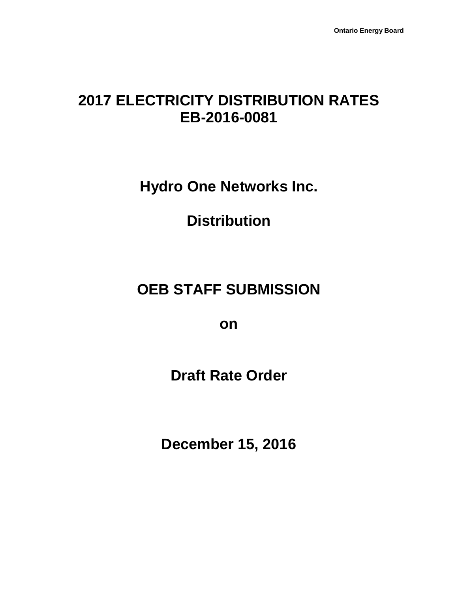# **2017 ELECTRICITY DISTRIBUTION RATES EB-2016-0081**

**Hydro One Networks Inc.**

**Distribution**

# **OEB STAFF SUBMISSION**

**on**

**Draft Rate Order**

**December 15, 2016**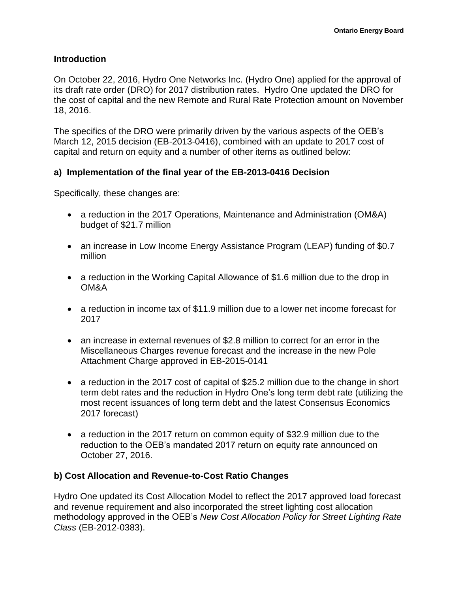#### **Introduction**

On October 22, 2016, Hydro One Networks Inc. (Hydro One) applied for the approval of its draft rate order (DRO) for 2017 distribution rates. Hydro One updated the DRO for the cost of capital and the new Remote and Rural Rate Protection amount on November 18, 2016.

The specifics of the DRO were primarily driven by the various aspects of the OEB's March 12, 2015 decision (EB-2013-0416), combined with an update to 2017 cost of capital and return on equity and a number of other items as outlined below:

#### **a) Implementation of the final year of the EB-2013-0416 Decision**

Specifically, these changes are:

- a reduction in the 2017 Operations, Maintenance and Administration (OM&A) budget of \$21.7 million
- an increase in Low Income Energy Assistance Program (LEAP) funding of \$0.7 million
- a reduction in the Working Capital Allowance of \$1.6 million due to the drop in OM&A
- a reduction in income tax of \$11.9 million due to a lower net income forecast for 2017
- an increase in external revenues of \$2.8 million to correct for an error in the Miscellaneous Charges revenue forecast and the increase in the new Pole Attachment Charge approved in EB-2015-0141
- a reduction in the 2017 cost of capital of \$25.2 million due to the change in short term debt rates and the reduction in Hydro One's long term debt rate (utilizing the most recent issuances of long term debt and the latest Consensus Economics 2017 forecast)
- a reduction in the 2017 return on common equity of \$32.9 million due to the reduction to the OEB's mandated 2017 return on equity rate announced on October 27, 2016.

#### **b) Cost Allocation and Revenue-to-Cost Ratio Changes**

Hydro One updated its Cost Allocation Model to reflect the 2017 approved load forecast and revenue requirement and also incorporated the street lighting cost allocation methodology approved in the OEB's *New Cost Allocation Policy for Street Lighting Rate Class* (EB-2012-0383).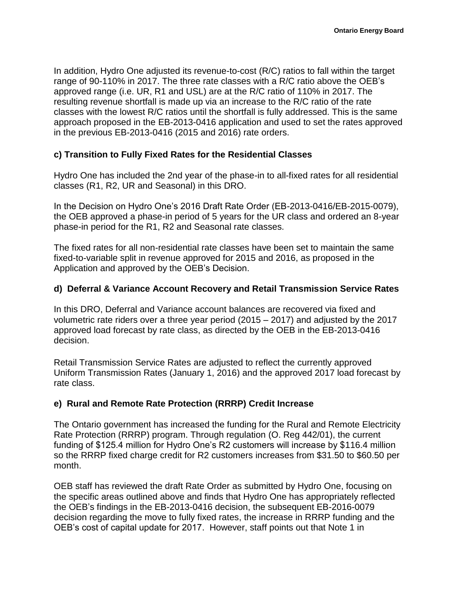In addition, Hydro One adjusted its revenue-to-cost (R/C) ratios to fall within the target range of 90-110% in 2017. The three rate classes with a R/C ratio above the OEB's approved range (i.e. UR, R1 and USL) are at the R/C ratio of 110% in 2017. The resulting revenue shortfall is made up via an increase to the R/C ratio of the rate classes with the lowest R/C ratios until the shortfall is fully addressed. This is the same approach proposed in the EB-2013-0416 application and used to set the rates approved in the previous EB-2013-0416 (2015 and 2016) rate orders.

## **c) Transition to Fully Fixed Rates for the Residential Classes**

Hydro One has included the 2nd year of the phase-in to all-fixed rates for all residential classes (R1, R2, UR and Seasonal) in this DRO.

In the Decision on Hydro One's 2016 Draft Rate Order (EB-2013-0416/EB-2015-0079), the OEB approved a phase-in period of 5 years for the UR class and ordered an 8-year phase-in period for the R1, R2 and Seasonal rate classes.

The fixed rates for all non-residential rate classes have been set to maintain the same fixed-to-variable split in revenue approved for 2015 and 2016, as proposed in the Application and approved by the OEB's Decision.

## **d) Deferral & Variance Account Recovery and Retail Transmission Service Rates**

In this DRO, Deferral and Variance account balances are recovered via fixed and volumetric rate riders over a three year period (2015 – 2017) and adjusted by the 2017 approved load forecast by rate class, as directed by the OEB in the EB-2013-0416 decision.

Retail Transmission Service Rates are adjusted to reflect the currently approved Uniform Transmission Rates (January 1, 2016) and the approved 2017 load forecast by rate class.

# **e) Rural and Remote Rate Protection (RRRP) Credit Increase**

The Ontario government has increased the funding for the Rural and Remote Electricity Rate Protection (RRRP) program. Through regulation (O. Reg 442/01), the current funding of \$125.4 million for Hydro One's R2 customers will increase by \$116.4 million so the RRRP fixed charge credit for R2 customers increases from \$31.50 to \$60.50 per month.

OEB staff has reviewed the draft Rate Order as submitted by Hydro One, focusing on the specific areas outlined above and finds that Hydro One has appropriately reflected the OEB's findings in the EB-2013-0416 decision, the subsequent EB-2016-0079 decision regarding the move to fully fixed rates, the increase in RRRP funding and the OEB's cost of capital update for 2017. However, staff points out that Note 1 in